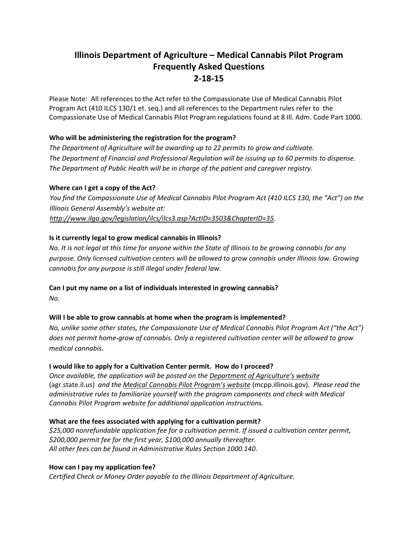# **Illinois Department of Agriculture – Medical Cannabis Pilot Program Frequently Asked Questions 2‐18‐15**

Please Note: All references to the Act refer to the Compassionate Use of Medical Cannabis Pilot Program Act (410 ILCS 130/1 et. seq.) and all references to the Department rules refer to the Compassionate Use of Medical Cannabis Pilot Program regulations found at 8 Ill. Adm. Code Part 1000.

# **Who will be administering the registration for the program?**

*The Department of Agriculture will be awarding up to 22 permits to grow and cultivate. The Department of Financial and Professional Regulation will be issuing up to 60 permits to dispense. The Department of Public Health will be in charge of the patient and caregiver registry.*

# **Where can I get a copy of the Act?**

You find the Compassionate Use of Medical Cannabis Pilot Program Act (410 ILCS 130, the "Act") on the *Illinois General Assembly's website at: http://www.ilga.gov/legislation/ilcs/ilcs3.asp?ActID=3503&ChapterID=35*.

# **Is it currently legal to grow medical cannabis in Illinois?**

No. It is not legal at this time for anyone within the State of Illinois to be growing cannabis for any *purpose. Only licensed cultivation centers will be allowed to grow cannabis under Illinois law. Growing cannabis for any purpose is still illegal under federal law.*

#### **Can I put my name on a list of individuals interested in growing cannabis?**

*No.*

# **Will I be able to grow cannabis at home when the program is implemented?**

*No, unlike some other states, the Compassionate Use of Medical Cannabis Pilot Program Act ("the Act")* does not permit home-grow of cannabis. Only a registered cultivation center will be allowed to grow *medical cannabis.*

#### **I would like to apply for a Cultivation Center permit. How do I proceed?**

*Once available, the application will be posted on the Department of Agriculture's website* (agr.state.il.us) *and the Medical Cannabis Pilot Program's website* (mcpp.illinois.gov)*. Please read the administrative rules to familiarize yourself with the program components and check with Medical Cannabis Pilot Program website for additional application instructions.* 

#### **What are the fees associated with applying for a cultivation permit?**

*\$25,000 nonrefundable application fee for a cultivation permit. If issued a cultivation center permit, \$200,000 permit fee for the first year, \$100,000 annually thereafter. All other fees can be found in Administrative Rules Section 1000.140.*

#### **How can I pay my application fee?**

*Certified Check or Money Order payable to the Illinois Department of Agriculture.*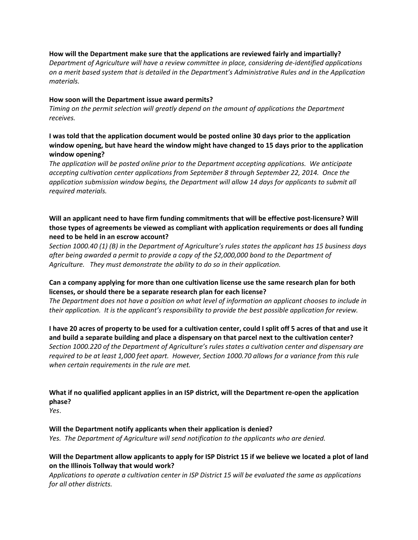#### **How will the Department make sure that the applications are reviewed fairly and impartially?**

*Department of Agriculture will have a review committee in place, considering de‐identified applications on a merit based system that is detailed in the Department's Administrative Rules and in the Application materials.* 

#### **How soon will the Department issue award permits?**

*Timing on the permit selection will greatly depend on the amount of applications the Department*  $r$ *eceives.* 

# **I was told that the application document would be posted online 30 days prior to the application window opening, but have heard the window might have changed to 15 days prior to the application window opening?**

*The application will be posted online prior to the Department accepting applications. We anticipate accepting cultivation center applications from September 8 through September 22, 2014. Once the application submission window begins, the Department will allow 14 days for applicants to submit all required materials.* 

#### **Will an applicant need to have firm funding commitments that will be effective post‐licensure? Will those types of agreements be viewed as compliant with application requirements or does all funding need to be held in an escrow account?**

Section 1000.40 (1) (B) in the Department of Agriculture's rules states the applicant has 15 business days *after being awarded a permit to provide a copy of the \$2,000,000 bond to the Department of Agriculture. They must demonstrate the ability to do so in their application.*

#### **Can a company applying for more than one cultivation license use the same research plan for both licenses, or should there be a separate research plan for each license?**

The Department does not have a position on what level of information an applicant chooses to include in their application. It is the applicant's responsibility to provide the best possible application for review.

I have 20 acres of property to be used for a cultivation center, could I split off 5 acres of that and use it and build a separate building and place a dispensary on that parcel next to the cultivation center? *Section 1000.220 of the Department of Agriculture's rules states a cultivation center and dispensary are* required to be at least 1,000 feet apart. However, Section 1000.70 allows for a variance from this rule *when certain requirements in the rule are met.*

What if no qualified applicant applies in an ISP district, will the Department re-open the application **phase?**

*Yes*.

#### **Will the Department notify applicants when their application is denied?**

*Yes. The Department of Agriculture will send notification to the applicants who are denied.* 

#### Will the Department allow applicants to apply for ISP District 15 if we believe we located a plot of land **on the Illinois Tollway that would work?**

Applications to operate a cultivation center in ISP District 15 will be evaluated the same as applications *for all other districts.*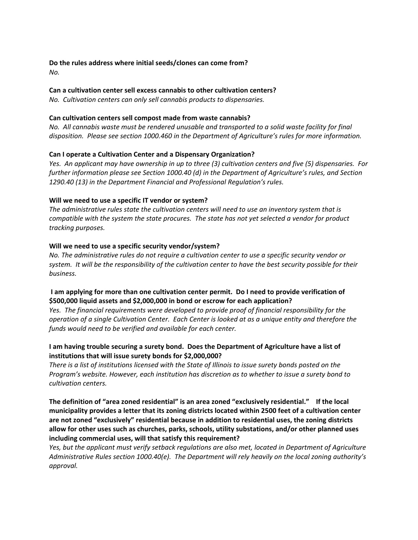# **Do the rules address where initial seeds/clones can come from?**

*No.* 

# **Can a cultivation center sell excess cannabis to other cultivation centers?**

*No. Cultivation centers can only sell cannabis products to dispensaries.* 

# **Can cultivation centers sell compost made from waste cannabis?**

No. All cannabis waste must be rendered unusable and transported to a solid waste facility for final *disposition. Please see section 1000.460 in the Department of Agriculture's rules for more information.* 

# **Can I operate a Cultivation Center and a Dispensary Organization?**

Yes. An applicant may have ownership in up to three (3) cultivation centers and five (5) dispensaries. For *further information please see Section 1000.40 (d) in the Department of Agriculture's rules, and Section 1290.40 (13) in the Department Financial and Professional Regulation's rules.* 

# **Will we need to use a specific IT vendor or system?**

*The administrative rules state the cultivation centers will need to use an inventory system that is* compatible with the system the state procures. The state has not yet selected a vendor for product *tracking purposes.* 

# **Will we need to use a specific security vendor/system?**

*No. The administrative rules do not require a cultivation center to use a specific security vendor or* system. It will be the responsibility of the cultivation center to have the best security possible for their *business.* 

# **I am applying for more than one cultivation center permit. Do I need to provide verification of \$500,000 liquid assets and \$2,000,000 in bond or escrow for each application?**

*Yes. The financial requirements were developed to provide proof of financial responsibility for the* operation of a single Cultivation Center. Each Center is looked at as a unique entity and therefore the *funds would need to be verified and available for each center.* 

# **I am having trouble securing a surety bond. Does the Department of Agriculture have a list of institutions that will issue surety bonds for \$2,000,000?**

There is a list of institutions licensed with the State of Illinois to issue surety bonds posted on the *Program's website. However, each institution has discretion as to whether to issue a surety bond to cultivation centers.* 

**The definition of "area zoned residential" is an area zoned "exclusively residential." If the local municipality provides a letter that its zoning districts located within 2500 feet of a cultivation center are not zoned "exclusively" residential because in addition to residential uses, the zoning districts allow for other uses such as churches, parks, schools, utility substations, and/or other planned uses including commercial uses, will that satisfy this requirement?**

*Yes, but the applicant must verify setback regulations are also met, located in Department of Agriculture Administrative Rules section 1000.40(e). The Department will rely heavily on the local zoning authority's approval.*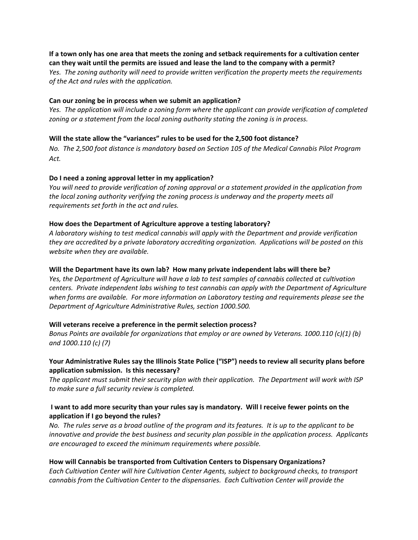If a town only has one area that meets the zoning and setback requirements for a cultivation center **can they wait until the permits are issued and lease the land to the company with a permit?**

*Yes. The zoning authority will need to provide written verification the property meets the requirements of the Act and rules with the application.* 

#### **Can our zoning be in process when we submit an application?**

Yes. The application will include a zoning form where the applicant can provide verification of completed *zoning or a statement from the local zoning authority stating the zoning is in process.* 

#### **Will the state allow the "variances" rules to be used for the 2,500 foot distance?**

No. The 2,500 foot distance is mandatory based on Section 105 of the Medical Cannabis Pilot Program *Act.* 

#### **Do I need a zoning approval letter in my application?**

*You will need to provide verification of zoning approval or a statement provided in the application from the local zoning authority verifying the zoning process is underway and the property meets all requirements set forth in the act and rules.* 

#### **How does the Department of Agriculture approve a testing laboratory?**

*A laboratory wishing to test medical cannabis will apply with the Department and provide verification they are accredited by a private laboratory accrediting organization. Applications will be posted on this website when they are available.* 

#### **Will the Department have its own lab? How many private independent labs will there be?**

*Yes, the Department of Agriculture will have a lab to test samples of cannabis collected at cultivation centers. Private independent labs wishing to test cannabis can apply with the Department of Agriculture when forms are available. For more information on Laboratory testing and requirements please see the Department of Agriculture Administrative Rules, section 1000.500.* 

#### **Will veterans receive a preference in the permit selection process?**

*Bonus Points are available for organizations that employ or are owned by Veterans. 1000.110 (c)(1) (b) and 1000.110 (c) (7)*

#### **Your Administrative Rules say the Illinois State Police ("ISP") needs to review all security plans before application submission. Is this necessary?**

*The applicant must submit their security plan with their application. The Department will work with ISP to make sure a full security review is completed.* 

#### I want to add more security than your rules say is mandatory. Will I receive fewer points on the **application if I go beyond the rules?**

No. The rules serve as a broad outline of the program and its features. It is up to the applicant to be *innovative and provide the best business and security plan possible in the application process. Applicants are encouraged to exceed the minimum requirements where possible.* 

#### **How will Cannabis be transported from Cultivation Centers to Dispensary Organizations?**

*Each Cultivation Center will hire Cultivation Center Agents, subject to background checks, to transport cannabis from the Cultivation Center to the dispensaries. Each Cultivation Center will provide the*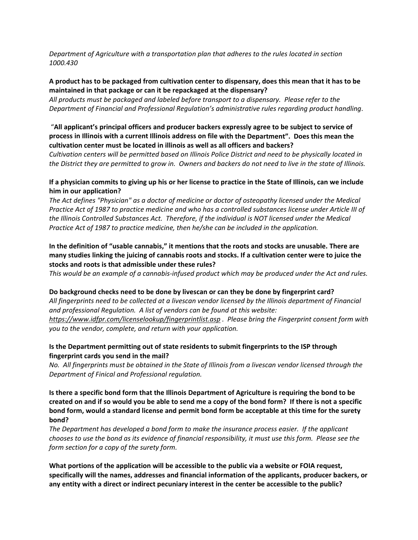*Department of Agriculture with a transportation plan that adheres to the rules located in section 1000.430*

#### A product has to be packaged from cultivation center to dispensary, does this mean that it has to be **maintained in that package or can it be repackaged at the dispensary?**

*All products must be packaged and labeled before transport to a dispensary. Please refer to the Department of Financial and Professional Regulation's administrative rules regarding product handling*.

#### "**All applicant's principal officers and producer backers expressly agree to be subject to service of** process in Illinois with a current Illinois address on file with the Department". Does this mean the **cultivation center must be located in illinois as well as all officers and backers?**

Cultivation centers will be permitted based on Illinois Police District and need to be physically located in the District they are permitted to grow in. Owners and backers do not need to live in the state of Illinois.

# If a physician commits to giving up his or her license to practice in the State of Illinois, can we include **him in our application?**

*The Act defines "Physician" as a doctor of medicine or doctor of osteopathy licensed under the Medical* Practice Act of 1987 to practice medicine and who has a controlled substances license under Article III of *the Illinois Controlled Substances Act. Therefore, if the individual is NOT licensed under the Medical Practice Act of 1987 to practice medicine, then he/she can be included in the application.*

# **In the definition of "usable cannabis," it mentions that the roots and stocks are unusable. There are** many studies linking the juicing of cannabis roots and stocks. If a cultivation center were to juice the **stocks and roots is that admissible under these rules?**

This would be an example of a cannabis-infused product which may be produced under the Act and rules.

#### **Do background checks need to be done by livescan or can they be done by fingerprint card?**

All fingerprints need to be collected at a livescan vendor licensed by the Illinois department of Financial *and professional Regulation. A list of vendors can be found at this website: https://www.idfpr.com/licenselookup/fingerprintlist.asp . Please bring the Fingerprint consent form with you to the vendor, complete, and return with your application.* 

#### **Is the Department permitting out of state residents to submit fingerprints to the ISP through fingerprint cards you send in the mail?**

No. All fingerprints must be obtained in the State of Illinois from a livescan vendor licensed through the *Department of Finical and Professional regulation.* 

Is there a specific bond form that the Illinois Department of Agriculture is requiring the bond to be created on and if so would you be able to send me a copy of the bond form? If there is not a specific **bond form, would a standard license and permit bond form be acceptable at this time for the surety bond?**

*The Department has developed a bond form to make the insurance process easier. If the applicant* chooses to use the bond as its evidence of financial responsibility, it must use this form. Please see the *form section for a copy of the surety form.* 

**What portions of the application will be accessible to the public via a website or FOIA request, specifically will the names, addresses and financial information of the applicants, producer backers, or any entity with a direct or indirect pecuniary interest in the center be accessible to the public?**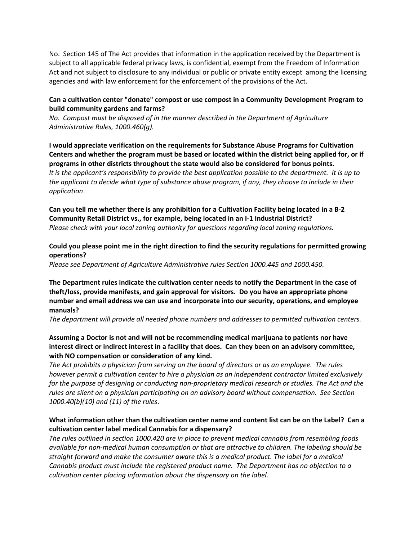No. Section 145 of The Act provides that information in the application received by the Department is subject to all applicable federal privacy laws, is confidential, exempt from the Freedom of Information Act and not subject to disclosure to any individual or public or private entity except among the licensing agencies and with law enforcement for the enforcement of the provisions of the Act.

# **Can a cultivation center "donate" compost or use compost in a Community Development Program to build community gardens and farms?**

*No. Compost must be disposed of in the manner described in the Department of Agriculture Administrative Rules, 1000.460(g).* 

**I would appreciate verification on the requirements for Substance Abuse Programs for Cultivation** Centers and whether the program must be based or located within the district being applied for, or if **programs in other districts throughout the state would also be considered for bonus points.** It is the applicant's responsibility to provide the best application possible to the department. It is up to the applicant to decide what type of substance abuse program, if any, they choose to include in their *application*.

Can you tell me whether there is any prohibition for a Cultivation Facility being located in a B-2 **Community Retail District vs., for example, being located in an I‐1 Industrial District?** *Please check with your local zoning authority for questions regarding local zoning regulations.* 

# **Could you please point me in the right direction to find the security regulations for permitted growing operations?**

*Please see Department of Agriculture Administrative rules Section 1000.445 and 1000.450.* 

**The Department rules indicate the cultivation center needs to notify the Department in the case of theft/loss, provide manifests, and gain approval for visitors. Do you have an appropriate phone number and email address we can use and incorporate into our security, operations, and employee manuals?**

*The department will provide all needed phone numbers and addresses to permitted cultivation centers.*

# **Assuming a Doctor is not and will not be recommending medical marijuana to patients nor have** interest direct or indirect interest in a facility that does. Can they been on an advisory committee, **with NO compensation or consideration of any kind.**

The Act prohibits a physician from serving on the board of directors or as an employee. The rules *however permit a cultivation center to hire a physician as an independent contractor limited exclusively* for the purpose of designing or conducting non-proprietary medical research or studies. The Act and the *rules are silent on a physician participating on an advisory board without compensation. See Section 1000.40(b)(10) and (11) of the rules*.

# What information other than the cultivation center name and content list can be on the Label? Can a **cultivation center label medical Cannabis for a dispensary?**

*The rules outlined in section 1000.420 are in place to prevent medical cannabis from resembling foods available for non‐medical human consumption or that are attractive to children. The labeling should be straight forward and make the consumer aware this is a medical product. The label for a medical Cannabis product must include the registered product name. The Department has no objection to a cultivation center placing information about the dispensary on the label.*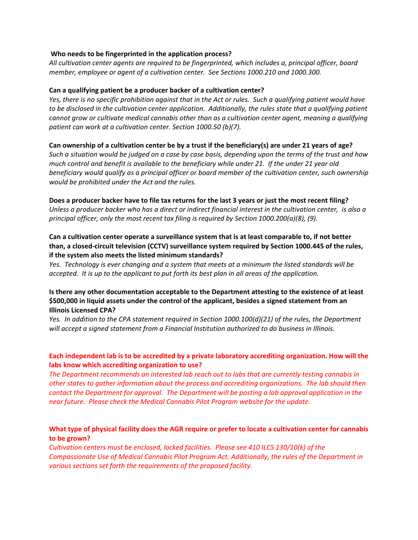#### **Who needs to be fingerprinted in the application process?**

*All cultivation center agents are required to be fingerprinted, which includes a, principal officer, board member, employee or agent of a cultivation center. See Sections 1000.210 and 1000.300.* 

#### **Can a qualifying patient be a producer backer of a cultivation center?**

Yes, there is no specific prohibition against that in the Act or rules. Such a qualifying patient would have to be disclosed in the cultivation center application. Additionally, the rules state that a qualifying patient *cannot grow or cultivate medical cannabis other than as a cultivation center agent, meaning a qualifying patient can work at a cultivation center. Section 1000.50 (b)(7).* 

#### Can ownership of a cultivation center be by a trust if the beneficiary(s) are under 21 years of age?

Such a situation would be judged on a case by case basis, depending upon the terms of the trust and how much control and benefit is available to the beneficiary while under 21. If the under 21 year old *beneficiary would qualify as a principal officer or board member of the cultivation center, such ownership would be prohibited under the Act and the rules.*

Does a producer backer have to file tax returns for the last 3 years or just the most recent filing? Unless a producer backer who has a direct or indirect financial interest in the cultivation center, is also a *principal officer, only the most recent tax filing is required by Section 1000.200(a)(8), (9).* 

# **Can a cultivation center operate a surveillance system that is at least comparable to, if not better than, a closed‐circuit television (CCTV) surveillance system required by Section 1000.445 of the rules, if the system also meets the listed minimum standards?**

Yes. Technology is ever changing and a system that meets at a minimum the listed standards will be accepted. It is up to the applicant to put forth its best plan in all areas of the application.

# **Is there any other documentation acceptable to the Department attesting to the existence of at least \$500,000 in liquid assets under the control of the applicant, besides a signed statement from an Illinois Licensed CPA?**

*Yes. In addition to the CPA statement required in Section 1000.100(d)(21) of the rules, the Department will accept a signed statement from a Financial Institution authorized to do business in Illinois.*

# **Each independent lab is to be accredited by a private laboratory accrediting organization. How will the labs know which accrediting organization to use?**

*The Department recommends an interested lab reach out to labs that are currently testing cannabis in other states to gather information about the process and accrediting organizations. The lab should then contact the Department for approval. The Department will be posting a lab approval application in the near future. Please check the Medical Cannabis Pilot Program website for the update.*

# What type of physical facility does the AGR require or prefer to locate a cultivation center for cannabis **to be grown?**

*Cultivation centers must be enclosed, locked facilities. Please see 410 ILCS 130/10(k) of the Compassionate Use of Medical Cannabis Pilot Program Act. Additionally, the rules of the Department in various sections set forth the requirements of the proposed facility.*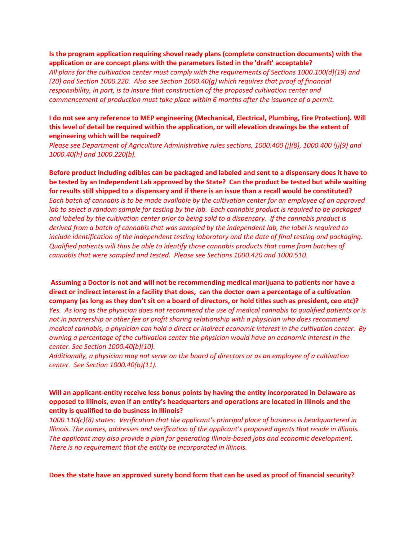#### **Is the program application requiring shovel ready plans (complete construction documents) with the application or are concept plans with the parameters listed in the 'draft' acceptable?**

*All plans for the cultivation center must comply with the requirements of Sections 1000.100(d)(19) and (20) and Section 1000.220. Also see Section 1000.40(g) which requires that proof of financial responsibility, in part, is to insure that construction of the proposed cultivation center and commencement of production must take place within 6 months after the issuance of a permit.*

#### **I do not see any reference to MEP engineering (Mechanical, Electrical, Plumbing, Fire Protection). Will this level of detail be required within the application, or will elevation drawings be the extent of engineering which will be required?**

*Please see Department of Agriculture Administrative rules sections, 1000.400 (j)(8), 1000.400 (j)(9) and 1000.40(h) and 1000.220(b).* 

Before product including edibles can be packaged and labeled and sent to a dispensary does it have to be tested by an Independent Lab approved by the State? Can the product be tested but while waiting for results still shipped to a dispensary and if there is an issue than a recall would be constituted? Each batch of cannabis is to be made available by the cultivation center for an employee of an approved lab to select a random sample for testing by the lab. Each cannabis product is required to be packaged and labeled by the cultivation center prior to being sold to a dispensary. If the cannabis product is *derived from a batch of cannabis that was sampled by the independent lab, the label is required to include identification of the independent testing laboratory and the date of final testing and packaging. Qualified patients will thus be able to identify those cannabis products that came from batches of cannabis that were sampled and tested. Please see Sections 1000.420 and 1000.510.* 

**Assuming a Doctor is not and will not be recommending medical marijuana to patients nor have a** direct or indirect interest in a facility that does, can the doctor own a percentage of a cultivation company (as long as they don't sit on a board of directors, or hold titles such as president, ceo etc)?

Yes. As long as the physician does not recommend the use of medical cannabis to qualified patients or is *not in partnership or other fee or profit sharing relationship with a physician who does recommend* medical cannabis, a physician can hold a direct or indirect economic interest in the cultivation center. By *owning a percentage of the cultivation center the physician would have an economic interest in the center. See Section 1000.40(b)(10).*

Additionally, a physician may not serve on the board of directors or as an employee of a cultivation *center. See Section 1000.40(b)(11).*

#### **Will an applicant‐entity receive less bonus points by having the entity incorporated in Delaware as opposed to Illinois, even if an entity's headquarters and operations are located in Illinois and the entity is qualified to do business in Illinois?**

*1000.110(c)(8) states: Verification that the applicant's principal place of business is headquartered in Illinois. The names, addresses and verification of the applicant's proposed agents that reside in Illinois. The applicant may also provide a plan for generating Illinois‐based jobs and economic development. There is no requirement that the entity be incorporated in Illinois.*

**Does the state have an approved surety bond form that can be used as proof of financial security**?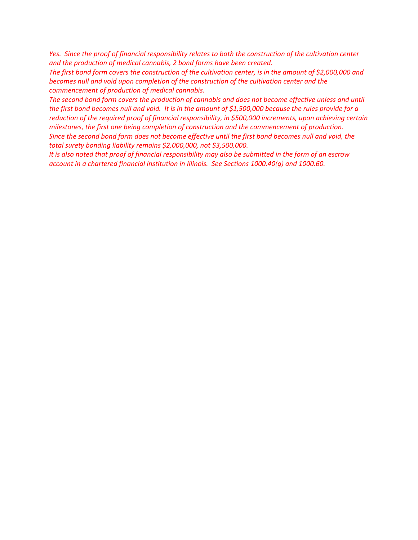Yes. Since the proof of financial responsibility relates to both the construction of the cultivation center *and the production of medical cannabis, 2 bond forms have been created.* 

The first bond form covers the construction of the cultivation center, is in the amount of \$2,000,000 and *becomes null and void upon completion of the construction of the cultivation center and the commencement of production of medical cannabis.*

*The second bond form covers the production of cannabis and does not become effective unless and until* the first bond becomes null and void. It is in the amount of \$1,500,000 because the rules provide for a *reduction of the required proof of financial responsibility, in \$500,000 increments, upon achieving certain milestones, the first one being completion of construction and the commencement of production.*  Since the second bond form does not become effective until the first bond becomes null and void, the *total surety bonding liability remains \$2,000,000, not \$3,500,000.*

It is also noted that proof of financial responsibility may also be submitted in the form of an escrow *account in a chartered financial institution in Illinois. See Sections 1000.40(g) and 1000.60.*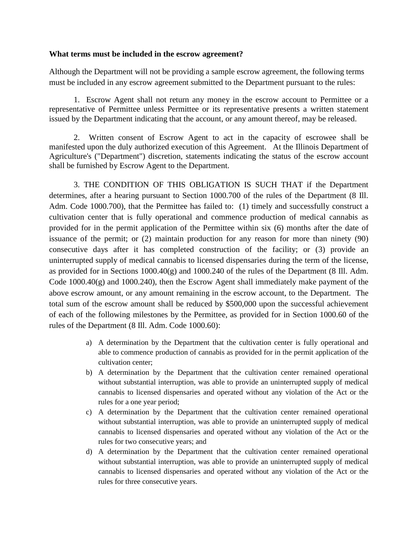# **What terms must be included in the escrow agreement?**

Although the Department will not be providing a sample escrow agreement, the following terms must be included in any escrow agreement submitted to the Department pursuant to the rules:

1. Escrow Agent shall not return any money in the escrow account to Permittee or a representative of Permittee unless Permittee or its representative presents a written statement issued by the Department indicating that the account, or any amount thereof, may be released.

2. Written consent of Escrow Agent to act in the capacity of escrowee shall be manifested upon the duly authorized execution of this Agreement. At the Illinois Department of Agriculture's ("Department") discretion, statements indicating the status of the escrow account shall be furnished by Escrow Agent to the Department.

3. THE CONDITION OF THIS OBLIGATION IS SUCH THAT if the Department determines, after a hearing pursuant to Section 1000.700 of the rules of the Department (8 Ill. Adm. Code 1000.700), that the Permittee has failed to: (1) timely and successfully construct a cultivation center that is fully operational and commence production of medical cannabis as provided for in the permit application of the Permittee within six (6) months after the date of issuance of the permit; or (2) maintain production for any reason for more than ninety (90) consecutive days after it has completed construction of the facility; or (3) provide an uninterrupted supply of medical cannabis to licensed dispensaries during the term of the license, as provided for in Sections 1000.40(g) and 1000.240 of the rules of the Department (8 Ill. Adm. Code  $1000.40(g)$  and  $1000.240$ , then the Escrow Agent shall immediately make payment of the above escrow amount, or any amount remaining in the escrow account, to the Department. The total sum of the escrow amount shall be reduced by \$500,000 upon the successful achievement of each of the following milestones by the Permittee, as provided for in Section 1000.60 of the rules of the Department (8 Ill. Adm. Code 1000.60):

- a) A determination by the Department that the cultivation center is fully operational and able to commence production of cannabis as provided for in the permit application of the cultivation center;
- b) A determination by the Department that the cultivation center remained operational without substantial interruption, was able to provide an uninterrupted supply of medical cannabis to licensed dispensaries and operated without any violation of the Act or the rules for a one year period;
- c) A determination by the Department that the cultivation center remained operational without substantial interruption, was able to provide an uninterrupted supply of medical cannabis to licensed dispensaries and operated without any violation of the Act or the rules for two consecutive years; and
- d) A determination by the Department that the cultivation center remained operational without substantial interruption, was able to provide an uninterrupted supply of medical cannabis to licensed dispensaries and operated without any violation of the Act or the rules for three consecutive years.